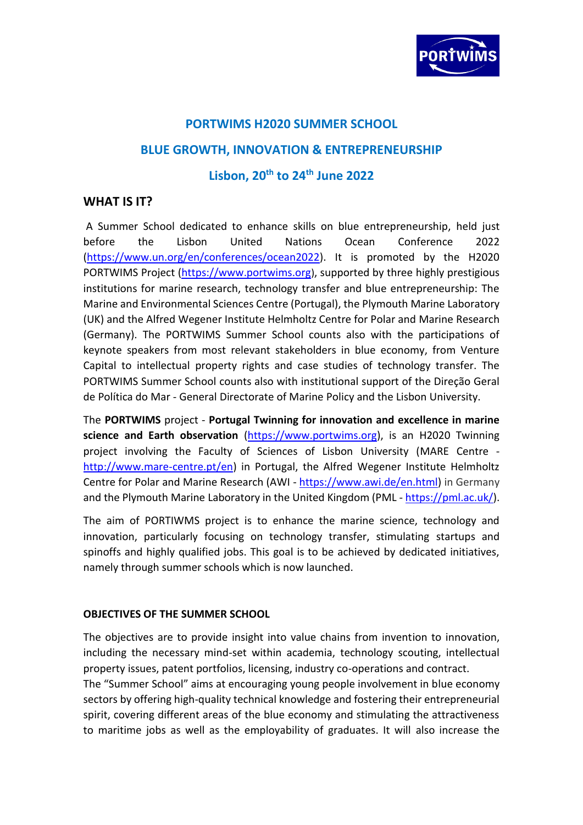

## **PORTWIMS H2020 SUMMER SCHOOL**

## **BLUE GROWTH, INNOVATION & ENTREPRENEURSHIP**

## **Lisbon, 20th to 24th June 2022**

## **WHAT IS IT?**

A Summer School dedicated to enhance skills on blue entrepreneurship, held just before the Lisbon United Nations Ocean Conference 2022 [\(https://www.un.org/en/conferences/ocean2022\)](https://www.un.org/en/conferences/ocean2022). It is promoted by the H2020 PORTWIMS Project [\(https://www.portwims.org](https://www.portwims.org/)), supported by three highly prestigious institutions for marine research, technology transfer and blue entrepreneurship: The Marine and Environmental Sciences Centre (Portugal), the Plymouth Marine Laboratory (UK) and the Alfred Wegener Institute Helmholtz Centre for Polar and Marine Research (Germany). The PORTWIMS Summer School counts also with the participations of keynote speakers from most relevant stakeholders in blue economy, from Venture Capital to intellectual property rights and case studies of technology transfer. The PORTWIMS Summer School counts also with institutional support of the Direção Geral de Política do Mar - General Directorate of Marine Policy and the Lisbon University.

The **PORTWIMS** project - **Portugal Twinning for innovation and excellence in marine science and Earth observation** [\(https://www.portwims.org\)](https://www.portwims.org/), is an H2020 Twinning project involving the Faculty of Sciences of Lisbon University (MARE Centre [http://www.mare-centre.pt/en\)](http://www.mare-centre.pt/en) in Portugal, the Alfred Wegener Institute Helmholtz Centre for Polar and Marine Research (AWI - [https://www.awi.de/en.html\)](https://www.awi.de/en.html) in Germany and the Plymouth Marine Laboratory in the United Kingdom (PML - [https://pml.ac.uk/\)](https://pml.ac.uk/).

The aim of PORTIWMS project is to enhance the marine science, technology and innovation, particularly focusing on technology transfer, stimulating startups and spinoffs and highly qualified jobs. This goal is to be achieved by dedicated initiatives, namely through summer schools which is now launched.

#### **OBJECTIVES OF THE SUMMER SCHOOL**

The objectives are to provide insight into value chains from invention to innovation, including the necessary mind-set within academia, technology scouting, intellectual property issues, patent portfolios, licensing, industry co-operations and contract. The "Summer School" aims at encouraging young people involvement in blue economy sectors by offering high-quality technical knowledge and fostering their entrepreneurial spirit, covering different areas of the blue economy and stimulating the attractiveness to maritime jobs as well as the employability of graduates. It will also increase the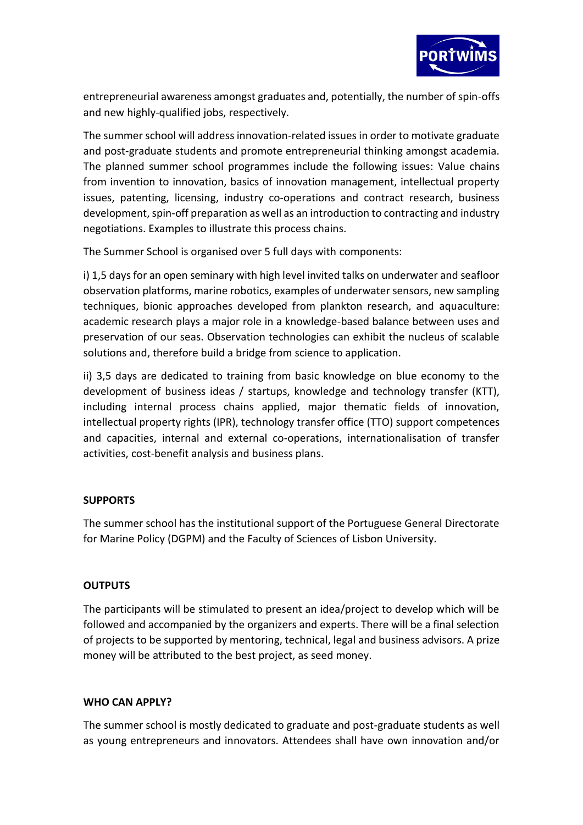

entrepreneurial awareness amongst graduates and, potentially, the number of spin-offs and new highly-qualified jobs, respectively.

The summer school will address innovation-related issues in order to motivate graduate and post-graduate students and promote entrepreneurial thinking amongst academia. The planned summer school programmes include the following issues: Value chains from invention to innovation, basics of innovation management, intellectual property issues, patenting, licensing, industry co-operations and contract research, business development, spin-off preparation as well as an introduction to contracting and industry negotiations. Examples to illustrate this process chains.

The Summer School is organised over 5 full days with components:

i) 1,5 days for an open seminary with high level invited talks on underwater and seafloor observation platforms, marine robotics, examples of underwater sensors, new sampling techniques, bionic approaches developed from plankton research, and aquaculture: academic research plays a major role in a knowledge-based balance between uses and preservation of our seas. Observation technologies can exhibit the nucleus of scalable solutions and, therefore build a bridge from science to application.

ii) 3,5 days are dedicated to training from basic knowledge on blue economy to the development of business ideas / startups, knowledge and technology transfer (KTT), including internal process chains applied, major thematic fields of innovation, intellectual property rights (IPR), technology transfer office (TTO) support competences and capacities, internal and external co-operations, internationalisation of transfer activities, cost-benefit analysis and business plans.

## **SUPPORTS**

The summer school has the institutional support of the Portuguese General Directorate for Marine Policy (DGPM) and the Faculty of Sciences of Lisbon University.

## **OUTPUTS**

The participants will be stimulated to present an idea/project to develop which will be followed and accompanied by the organizers and experts. There will be a final selection of projects to be supported by mentoring, technical, legal and business advisors. A prize money will be attributed to the best project, as seed money.

## **WHO CAN APPLY?**

The summer school is mostly dedicated to graduate and post-graduate students as well as young entrepreneurs and innovators. Attendees shall have own innovation and/or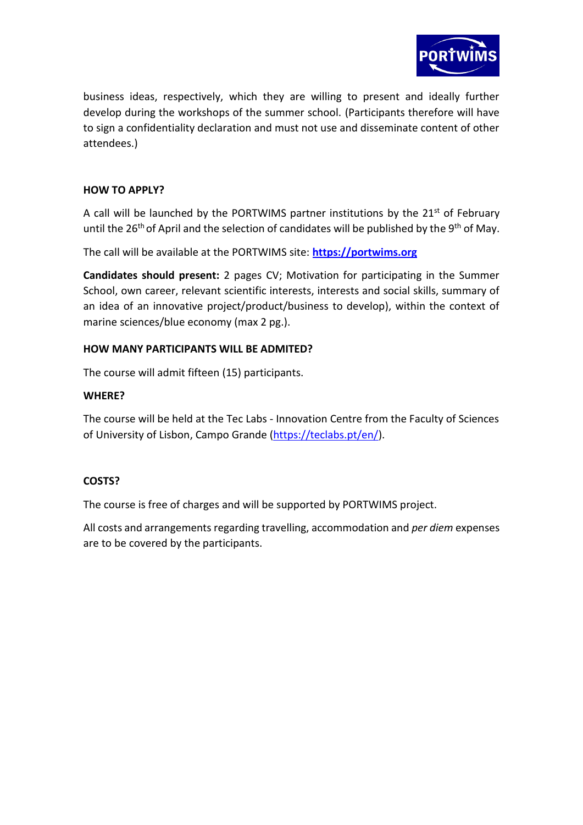

business ideas, respectively, which they are willing to present and ideally further develop during the workshops of the summer school. (Participants therefore will have to sign a confidentiality declaration and must not use and disseminate content of other attendees.)

## **HOW TO APPLY?**

A call will be launched by the PORTWIMS partner institutions by the  $21<sup>st</sup>$  of February until the 26<sup>th</sup> of April and the selection of candidates will be published by the 9<sup>th</sup> of May.

The call will be available at the PORTWIMS site: **[https://portwims.org](https://portwims.org/)**

**Candidates should present:** 2 pages CV; Motivation for participating in the Summer School, own career, relevant scientific interests, interests and social skills, summary of an idea of an innovative project/product/business to develop), within the context of marine sciences/blue economy (max 2 pg.).

## **HOW MANY PARTICIPANTS WILL BE ADMITED?**

The course will admit fifteen (15) participants.

#### **WHERE?**

The course will be held at the Tec Labs - Innovation Centre from the Faculty of Sciences of University of Lisbon, Campo Grande [\(https://teclabs.pt/en/\)](https://teclabs.pt/en/).

## **COSTS?**

The course is free of charges and will be supported by PORTWIMS project.

All costs and arrangements regarding travelling, accommodation and *per diem* expenses are to be covered by the participants.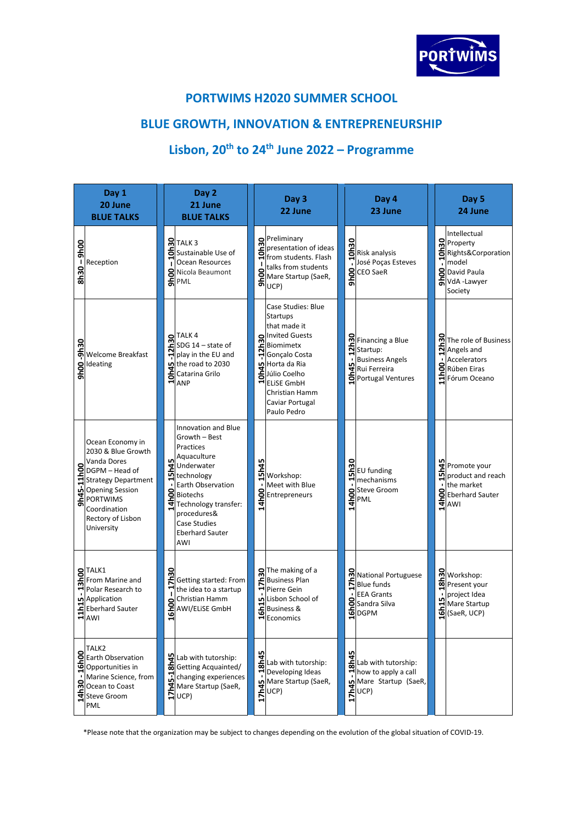

## **PORTWIMS H2020 SUMMER SCHOOL**

# **BLUE GROWTH, INNOVATION & ENTREPRENEURSHIP**

# **Lisbon, 20th to 24th June 2022 – Programme**

| Day 1<br>20 June<br><b>BLUE TALKS</b> |                                                                                                                                                                                                                 |               | Day 2<br>21 June<br><b>BLUE TALKS</b>                                                                                                                                                                                        |                      | Day 3<br>22 June                                                                                                                                                                                               | Day 4<br>23 June                                                                                                        | Day 5<br>24 June                                                                                          |
|---------------------------------------|-----------------------------------------------------------------------------------------------------------------------------------------------------------------------------------------------------------------|---------------|------------------------------------------------------------------------------------------------------------------------------------------------------------------------------------------------------------------------------|----------------------|----------------------------------------------------------------------------------------------------------------------------------------------------------------------------------------------------------------|-------------------------------------------------------------------------------------------------------------------------|-----------------------------------------------------------------------------------------------------------|
| $-9h00$<br><b>OENS</b>                | Reception                                                                                                                                                                                                       |               | <b>M</b> TALK <sub>3</sub><br>Sustainable Use of<br>Ocean Resources<br>S Nicola Beaumont                                                                                                                                     |                      | Preliminary<br><b>E</b> presentation<br><b>F</b> from studen<br>presentation of ideas<br>from students. Flash<br>talks from students<br>Soltairs (1911)<br>Mare Startup (SaeR,<br>SolUCP)                      | a<br>ERisk analysis<br>José Poças Esteves<br>SCEO SaeR                                                                  | Intellectual<br><b>Property</b><br>Rights&Corporation<br>model<br>SDavid Paula<br>SVdA -Lawyer<br>Society |
| 9h00-9h30                             | <b>Welcome Breakfast</b><br>Ideating                                                                                                                                                                            |               | $\mathbf{R}$ TALK 4<br>SDG 14 - state of<br>$\Xi$ SDG 14 – state of<br>$\Xi$ play in the EU and<br>the road to 2030<br>$H$ ANP                                                                                               |                      | Case Studies: Blue<br>Startups<br>that made it<br>muited Guests<br>Explorations<br>Polygon<br>Conçalo Costa<br>Horta da Ria<br>Horta da Ria<br>HELiSE GmbH<br>Christian Hamm<br>Caviar Portugal<br>Paulo Pedro | <b>တြ</b> Financing a Blue<br>$\frac{2}{3}$ Startup:<br><b>Business Angels</b><br>모 Rui Ferreira<br>6 Portugal Ventures | m<br>Angels and<br>The role of Business<br>Accelerators<br>Rúben Eiras<br>Hann Oceano                     |
| $\overline{5}$                        | Ocean Economy in<br>2030 & Blue Growth<br>Vanda Dores<br><b>S</b><br>DGPM – Head of<br>Strategy Department<br><b>Δ</b><br>Opening Session<br><b>PORTWIMS</b><br>Coordination<br>Rectory of Lisbon<br>University | <b>15h45</b>  | Innovation and Blue<br>Growth - Best<br>Practices<br>Aquaculture<br>Underwater<br>technology<br>Earth Observation<br>Biotechs<br>Technology transfer:<br>procedures&<br><b>Case Studies</b><br><b>Eberhard Sauter</b><br>AWI | <b>5h45</b><br>14h00 | Workshop:<br>Meet with Blue<br>Entrepreneurs                                                                                                                                                                   | <b>S</b><br>Elev funding<br>$\blacksquare$ mechanisms<br>Steve Groom                                                    | 모 Promote your<br>product and reach<br>the market<br>B<br>Eberhard Sauter                                 |
|                                       | STALK1<br>From Marine and<br>Polar Research to<br>Application<br>Eleberhard Sauter<br>HAWI                                                                                                                      | 7h30<br>16h00 | Getting started: From<br>the idea to a startup<br>Christian Hamm<br>AWI/ELISE GmbH                                                                                                                                           | <u>ទីដ</u>           | Sol The making of a<br>Business Plan<br>Pierre Gein<br>ת Lisbon School of<br><b>Business &amp;</b><br>HEconomics                                                                                               | National Portuguese<br>$\sum$ Blue funds<br><b>EEA Grants</b><br>Ssandra Silva<br><b>E</b> DGPM                         | Morkshop:<br>Present your<br>project Idea<br>Mare Startup<br>C (SaeR, UCP)                                |
|                                       | TALK <sub>2</sub><br>Earth Observation<br>Marine Science, from<br>Solution of the Section<br>The Ocean to Coast<br>The Steve Groom<br>PML                                                                       | 17h45-18h45   | Lab with tutorship:<br>Getting Acquainted/<br>changing experiences<br>Mare Startup (SaeR,<br>UCP)                                                                                                                            | 8h45                 | Lab with tutorship:<br><i>u</i><br>Mare Startup (SaeR,<br>EUCP)<br>FI                                                                                                                                          | $\ddot{\tilde{\mathbf{s}}}$ Lab with tutorship:<br>and with the Startup (SaeR, 1)<br>Mare Startup (SaeR, 1)<br>The UCP) |                                                                                                           |

\*Please note that the organization may be subject to changes depending on the evolution of the global situation of COVID-19.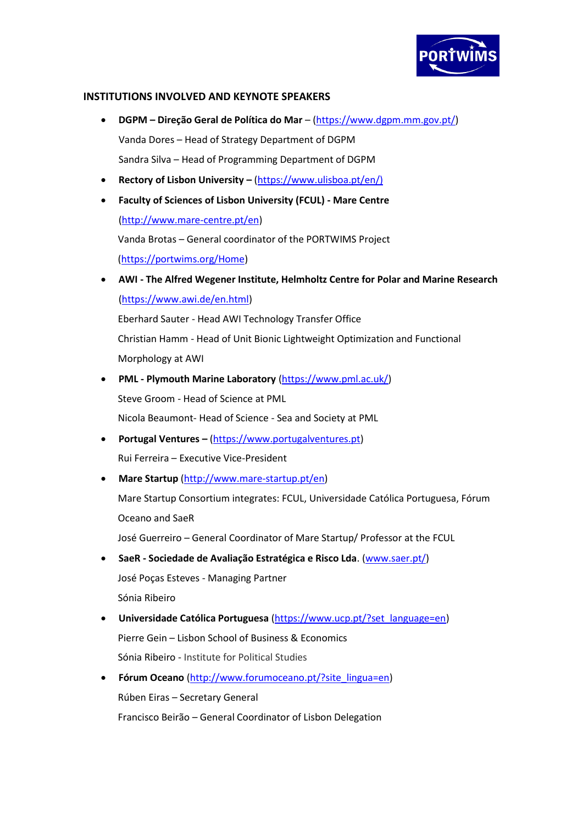

#### **INSTITUTIONS INVOLVED AND KEYNOTE SPEAKERS**

- **DGPM – Direção Geral de Política do Mar**  [\(https://www.dgpm.mm.gov.pt/\)](https://www.dgpm.mm.gov.pt/) Vanda Dores – Head of Strategy Department of DGPM Sandra Silva – Head of Programming Department of DGPM
- **Rectory of Lisbon University –** [\(https://www.ulisboa.pt/en/\)](https://www.ulisboa.pt/en/))
- **Faculty of Sciences of Lisbon University (FCUL) - Mare Centre** [\(http://www.mare-centre.pt/en\)](http://www.mare-centre.pt/en) Vanda Brotas – General coordinator of the PORTWIMS Project [\(https://portwims.org/Home\)](https://portwims.org/Home)
- **AWI - The Alfred Wegener Institute, Helmholtz Centre for Polar and Marine Research** [\(https://www.awi.de/en.html\)](https://www.awi.de/en.html)

Eberhard Sauter - Head AWI Technology Transfer Office Christian Hamm - Head of Unit Bionic Lightweight Optimization and Functional Morphology at AWI

- **PML - Plymouth Marine Laboratory** [\(https://www.pml.ac.uk/\)](https://www.pml.ac.uk/) Steve Groom - Head of Science at PML Nicola Beaumont- Head of Science - Sea and Society at PML
- **Portugal Ventures –** [\(https://www.portugalventures.pt\)](https://www.portugalventures.pt/) Rui Ferreira – Executive Vice-President
- **Mare Startup** [\(http://www.mare-startup.pt/en\)](http://www.mare-startup.pt/en)

Mare Startup Consortium integrates: FCUL, Universidade Católica Portuguesa, Fórum Oceano and SaeR

José Guerreiro – General Coordinator of Mare Startup/ Professor at the FCUL

• **SaeR - Sociedade de Avaliação Estratégica e Risco Lda**. [\(www.saer.pt/\)](http://www.saer.pt/)

José Poças Esteves - Managing Partner Sónia Ribeiro

- **Universidade Católica Portuguesa** [\(https://www.ucp.pt/?set\\_language=en\)](https://www.ucp.pt/?set_language=en) Pierre Gein – Lisbon School of Business & Economics Sónia Ribeiro - Institute for Political Studies
- **Fórum Oceano** [\(http://www.forumoceano.pt/?site\\_lingua=en\)](http://www.forumoceano.pt/?site_lingua=en) Rúben Eiras – Secretary General Francisco Beirão – General Coordinator of Lisbon Delegation